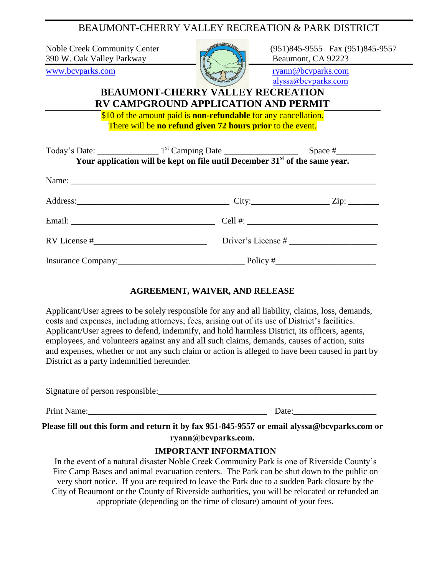BEAUMONT-CHERRY VALLEY RECREATION & PARK DISTRICT

390 W. Oak Valley Parkway  $\mathbb{Z}$   $\mathbb{Z}$  Beaumont, CA 92223



Noble Creek Community Center (951)845-9555 Fax (951)845-9557

alyssa@bcvparks.com

## **BEAUMONT-CHERRY VALLEY RECREATION RV CAMPGROUND APPLICATION AND PERMIT**

\$10 of the amount paid is **non-refundable** for any cancellation. There will be **no refund given 72 hours prior** to the event.

| Your application will be kept on file until December 31 <sup>st</sup> of the same year. |                      |  |
|-----------------------------------------------------------------------------------------|----------------------|--|
|                                                                                         |                      |  |
|                                                                                         |                      |  |
|                                                                                         |                      |  |
|                                                                                         | Driver's License $#$ |  |
|                                                                                         |                      |  |

### **AGREEMENT, WAIVER, AND RELEASE**

Applicant/User agrees to be solely responsible for any and all liability, claims, loss, demands, costs and expenses, including attorneys; fees, arising out of its use of District's facilities. Applicant/User agrees to defend, indemnify, and hold harmless District, its officers, agents, employees, and volunteers against any and all such claims, demands, causes of action, suits and expenses, whether or not any such claim or action is alleged to have been caused in part by District as a party indemnified hereunder.

| Signature of person responsible: |  |
|----------------------------------|--|
|                                  |  |

Print Name:\_\_\_\_\_\_\_\_\_\_\_\_\_\_\_\_\_\_\_\_\_\_\_\_\_\_\_\_\_\_\_\_\_\_\_\_\_\_\_\_\_ Date:\_\_\_\_\_\_\_\_\_\_\_\_\_\_\_\_\_\_\_

**Please fill out this form and return it by fax 951-845-9557 or email alyssa@bcvparks.com or ryann@bcvparks.com.**

#### **IMPORTANT INFORMATION**

In the event of a natural disaster Noble Creek Community Park is one of Riverside County's Fire Camp Bases and animal evacuation centers. The Park can be shut down to the public on very short notice. If you are required to leave the Park due to a sudden Park closure by the City of Beaumont or the County of Riverside authorities, you will be relocated or refunded an appropriate (depending on the time of closure) amount of your fees.